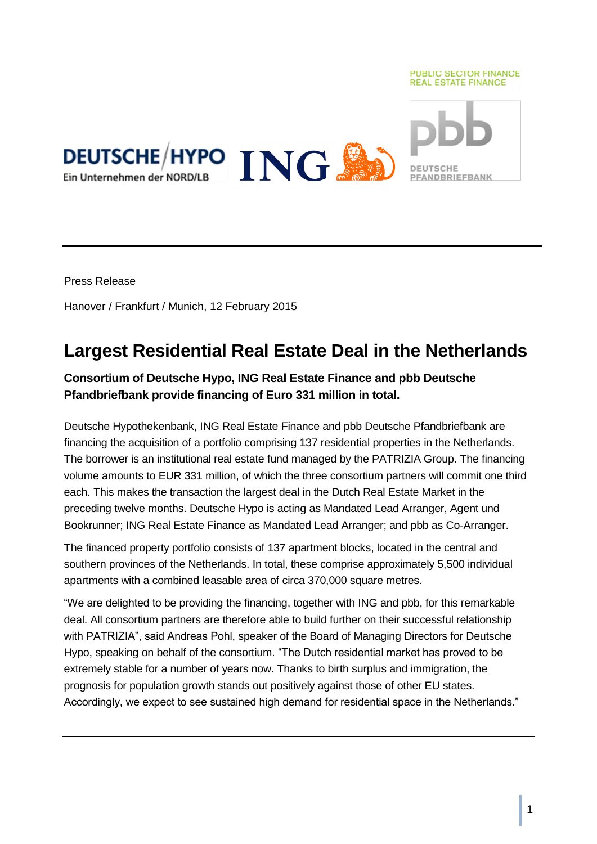

Press Release

Hanover / Frankfurt / Munich, 12 February 2015

# **Largest Residential Real Estate Deal in the Netherlands**

### **Consortium of Deutsche Hypo, ING Real Estate Finance and pbb Deutsche Pfandbriefbank provide financing of Euro 331 million in total.**

Deutsche Hypothekenbank, ING Real Estate Finance and pbb Deutsche Pfandbriefbank are financing the acquisition of a portfolio comprising 137 residential properties in the Netherlands. The borrower is an institutional real estate fund managed by the PATRIZIA Group. The financing volume amounts to EUR 331 million, of which the three consortium partners will commit one third each. This makes the transaction the largest deal in the Dutch Real Estate Market in the preceding twelve months. Deutsche Hypo is acting as Mandated Lead Arranger, Agent und Bookrunner; ING Real Estate Finance as Mandated Lead Arranger; and pbb as Co-Arranger.

The financed property portfolio consists of 137 apartment blocks, located in the central and southern provinces of the Netherlands. In total, these comprise approximately 5,500 individual apartments with a combined leasable area of circa 370,000 square metres.

"We are delighted to be providing the financing, together with ING and pbb, for this remarkable deal. All consortium partners are therefore able to build further on their successful relationship with PATRIZIA", said Andreas Pohl, speaker of the Board of Managing Directors for Deutsche Hypo, speaking on behalf of the consortium. "The Dutch residential market has proved to be extremely stable for a number of years now. Thanks to birth surplus and immigration, the prognosis for population growth stands out positively against those of other EU states. Accordingly, we expect to see sustained high demand for residential space in the Netherlands."